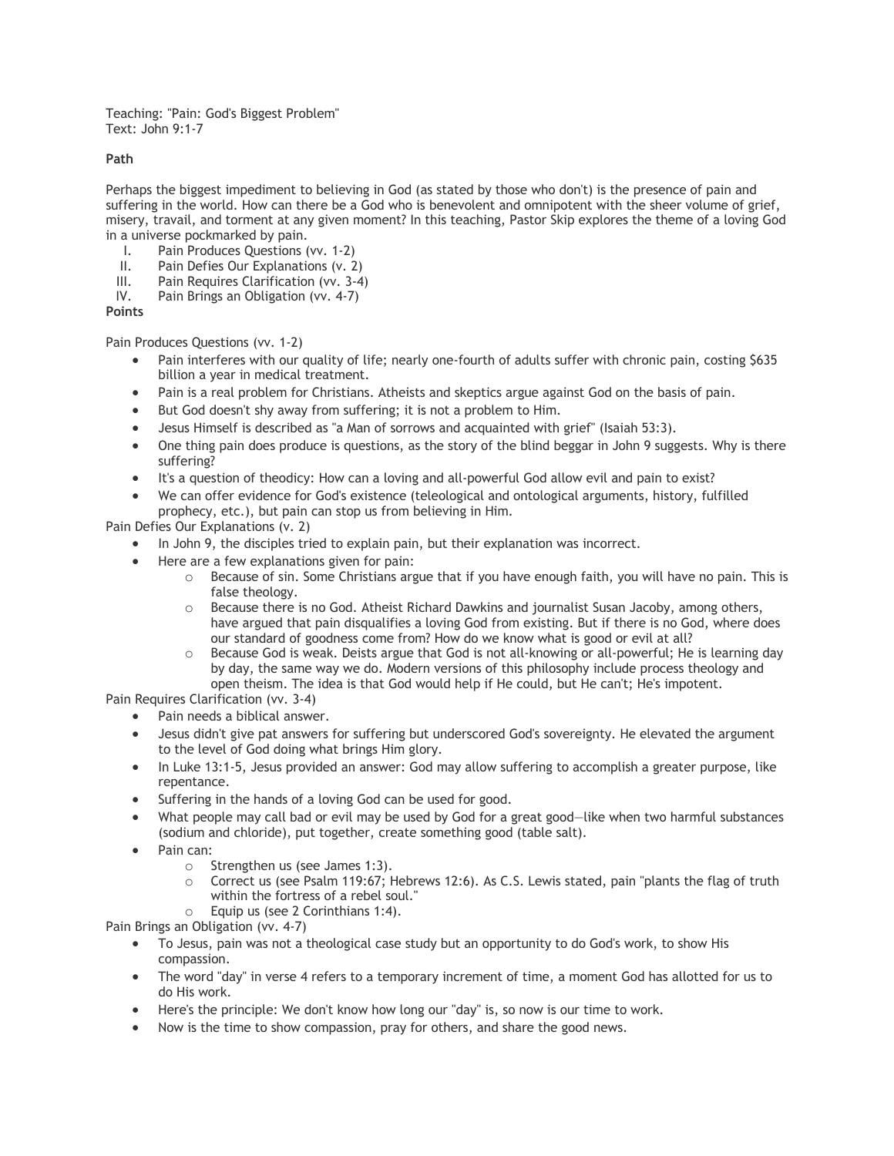Teaching: "Pain: God's Biggest Problem" Text: John 9:1-7

## **Path**

Perhaps the biggest impediment to believing in God (as stated by those who don't) is the presence of pain and suffering in the world. How can there be a God who is benevolent and omnipotent with the sheer volume of grief, misery, travail, and torment at any given moment? In this teaching, Pastor Skip explores the theme of a loving God in a universe pockmarked by pain.

- I. Pain Produces Questions (vv. 1-2)
- II. Pain Defies Our Explanations (v. 2)
- III. Pain Requires Clarification (vv. 3-4)
- IV. Pain Brings an Obligation (vv. 4-7)

## **Points**

Pain Produces Questions (vv. 1-2)

- Pain interferes with our quality of life; nearly one-fourth of adults suffer with chronic pain, costing \$635 billion a year in medical treatment.
- Pain is a real problem for Christians. Atheists and skeptics argue against God on the basis of pain.
- But God doesn't shy away from suffering; it is not a problem to Him.
- Jesus Himself is described as "a Man of sorrows and acquainted with grief" (Isaiah 53:3).
- One thing pain does produce is questions, as the story of the blind beggar in John 9 suggests. Why is there suffering?
- It's a question of theodicy: How can a loving and all-powerful God allow evil and pain to exist?
- We can offer evidence for God's existence (teleological and ontological arguments, history, fulfilled prophecy, etc.), but pain can stop us from believing in Him.

Pain Defies Our Explanations (v. 2)

- In John 9, the disciples tried to explain pain, but their explanation was incorrect.
- Here are a few explanations given for pain:
	- o Because of sin. Some Christians argue that if you have enough faith, you will have no pain. This is false theology.
	- o Because there is no God. Atheist Richard Dawkins and journalist Susan Jacoby, among others, have argued that pain disqualifies a loving God from existing. But if there is no God, where does our standard of goodness come from? How do we know what is good or evil at all?
	- o Because God is weak. Deists argue that God is not all-knowing or all-powerful; He is learning day by day, the same way we do. Modern versions of this philosophy include process theology and open theism. The idea is that God would help if He could, but He can't; He's impotent.

Pain Requires Clarification (vv. 3-4)

- Pain needs a biblical answer.
- Jesus didn't give pat answers for suffering but underscored God's sovereignty. He elevated the argument to the level of God doing what brings Him glory.
- In Luke 13:1-5, Jesus provided an answer: God may allow suffering to accomplish a greater purpose, like repentance.
- Suffering in the hands of a loving God can be used for good.
- What people may call bad or evil may be used by God for a great good—like when two harmful substances (sodium and chloride), put together, create something good (table salt).
- Pain can:
	- o Strengthen us (see James 1:3).
	- o Correct us (see Psalm 119:67; Hebrews 12:6). As C.S. Lewis stated, pain "plants the flag of truth within the fortress of a rebel soul."
	- o Equip us (see 2 Corinthians 1:4).

Pain Brings an Obligation (vv. 4-7)

- To Jesus, pain was not a theological case study but an opportunity to do God's work, to show His compassion.
- The word "day" in verse 4 refers to a temporary increment of time, a moment God has allotted for us to do His work.
- Here's the principle: We don't know how long our "day" is, so now is our time to work.
- Now is the time to show compassion, pray for others, and share the good news.